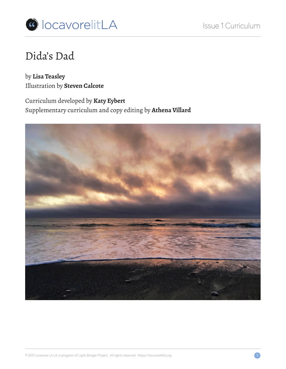

# Dida's Dad

by **Lisa Teasley** Illustration by **Steven Calcote**

Curriculum developed by **Katy Eybert** Supplementary curriculum and copy editing by **Athena Villard**

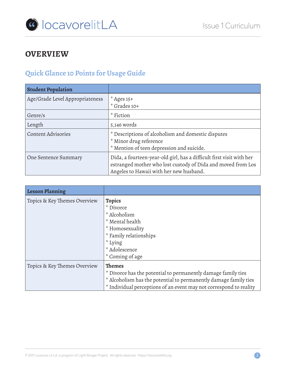

# **OVERVIEW**

# **Quick Glance 10 Points for Usage Guide**

| <b>Student Population</b>       |                                                                                                                                                                                 |
|---------------------------------|---------------------------------------------------------------------------------------------------------------------------------------------------------------------------------|
| Age/Grade Level Appropriateness | $*$ Ages 15+<br>* Grades 10+                                                                                                                                                    |
| Genre/s                         | * Fiction                                                                                                                                                                       |
| Length                          | 5,146 words                                                                                                                                                                     |
| <b>Content Advisories</b>       | * Descriptions of alcoholism and domestic disputes<br>* Minor drug reference<br>* Mention of teen depression and suicide.                                                       |
| One Sentence Summary            | Dida, a fourteen-year-old girl, has a difficult first visit with her<br>estranged mother who lost custody of Dida and moved from Los<br>Angeles to Hawaii with her new husband. |

| <b>Lesson Planning</b>       |                                                                    |  |  |
|------------------------------|--------------------------------------------------------------------|--|--|
| Topics & Key Themes Overview | <b>Topics</b>                                                      |  |  |
|                              | * Divorce                                                          |  |  |
|                              | * Alcoholism                                                       |  |  |
|                              | * Mental health                                                    |  |  |
|                              | * Homosexuality                                                    |  |  |
|                              | * Family relationships                                             |  |  |
|                              | * Lying                                                            |  |  |
|                              | * Adolescence                                                      |  |  |
|                              | * Coming of age                                                    |  |  |
| Topics & Key Themes Overview | <b>Themes</b>                                                      |  |  |
|                              | * Divorce has the potential to permanently damage family ties      |  |  |
|                              | * Alcoholism has the potential to permanently damage family ties   |  |  |
|                              | * Individual perceptions of an event may not correspond to reality |  |  |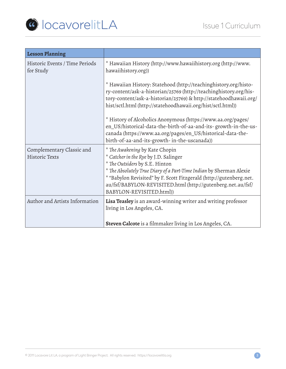

| <b>Lesson Planning</b>                      |                                                                                                                                                                                                                                                                                                                                                    |  |
|---------------------------------------------|----------------------------------------------------------------------------------------------------------------------------------------------------------------------------------------------------------------------------------------------------------------------------------------------------------------------------------------------------|--|
| Historic Events / Time Periods<br>for Study | * Hawaiian History (http://www.hawaiihistory.org (http://www.<br>hawaiihistory.org))                                                                                                                                                                                                                                                               |  |
|                                             | * Hawaiian History: Statehood (http://teachinghistory.org/histo-<br>ry-content/ask-a-historian/25769 (http://teachinghistory.org/his-<br>tory-content/ask-a-historian/25769) & http://statehoodhawaii.org/<br>hist/sctl.html (http://statehoodhawaii.org/hist/sctl.html))                                                                          |  |
|                                             | * History of Alcoholics Anonymous (https://www.aa.org/pages/<br>en_US/historical-data-the-birth-of-aa-and-its- growth-in-the-us-<br>canada (https://www.aa.org/pages/en_US/historical-data-the-<br>birth-of-aa-and-its-growth-in-the-uscanada))                                                                                                    |  |
| Complementary Classic and<br>Historic Texts | * The Awakening by Kate Chopin<br>* Catcher in the Rye by J.D. Salinger<br>* The Outsiders by S.E. Hinton<br>* The Absolutely True Diary of a Part-Time Indian by Sherman Alexie<br>* "Babylon Revisited" by F. Scott Fitzgerald (http://gutenberg.net.<br>au/fsf/BABYLON-REVISITED.html (http://gutenberg.net.au/fsf/<br>BABYLON-REVISITED.html)) |  |
| Author and Artists Information              | Lisa Teasley is an award-winning writer and writing professor<br>living in Los Angeles, CA.                                                                                                                                                                                                                                                        |  |
|                                             | Steven Calcote is a filmmaker living in Los Angeles, CA.                                                                                                                                                                                                                                                                                           |  |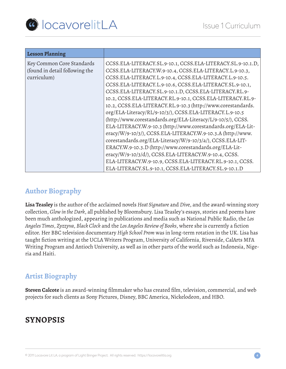

| <b>Lesson Planning</b>         |                                                              |
|--------------------------------|--------------------------------------------------------------|
| Key Common Core Standards      | CCSS.ELA-LITERACY.SL.9-10.1, CCSS.ELA-LITERACY.SL.9-10.1.D,  |
| (found in detail following the | CCSS.ELA-LITERACY.W.9-10.4, CCSS.ELA-LITERACY.L.9-10.3,      |
| curriculum)                    | CCSS.ELA-LITERACY.L.9-10.4, CCSS.ELA-LITERACY.L.9-10.5.      |
|                                | CCSS.ELA-LITERACY.L.9-10.6, CCSS.ELA-LITERACY.SL.9-10.1,     |
|                                | CCSS.ELA-LITERACY.SL.9-10.1.D, CCSS.ELA-LITERACY.RL.9-       |
|                                | 10.2, CCSS.ELA-LITERACY.RL.9-10.1, CCSS.ELA-LITERACY.RL.9-   |
|                                | 10.2, CCSS.ELA-LITERACY.RL.9-10.3 (http://www.corestandards. |
|                                | org/ELA-Literacy/RL/9-10/3/), CCSS.ELA-LITERACY.L.9-10.5     |
|                                | (http://www.corestandards.org/ELA-Literacy/L/9-10/5/), CCSS. |
|                                | ELA-LITERACY.W.9-10.3 (http://www.corestandards.org/ELA-Lit- |
|                                | eracy/W/9-10/3/), CCSS.ELA-LITERACY.W.9-10.3.A (http://www.  |
|                                | corestandards.org/ELA-Literacy/W/9-10/3/a/), CCSS.ELA-LIT-   |
|                                | ERACY.W.9-10.3.D (http://www.corestandards.org/ELA-Lit-      |
|                                | eracy/W/9-10/3/d/), CCSS.ELA-LITERACY.W.9-10.4, CCSS.        |
|                                | ELA-LITERACY.W.9-10.9, CCSS.ELA-LITERACY.RL.9-10.1, CCSS.    |
|                                | ELA-LITERACY.SL.9-10.1, CCSS.ELA-LITERACY.SL.9-10.1.D        |

### **Author Biography**

**Lisa Teasley** is the author of the acclaimed novels *Heat Signature* and *Div*e, and the award-winning story collection, *Glow in the Dark*, all published by Bloomsbury. Lisa Teasley's essays, stories and poems have been much anthologized, appearing in publications and media such as National Public Radio, the *Los Angeles Times*, *Zyzzyva*, *Black Clock* and the *Los Angeles Review of Books*, where she is currently a fiction editor. Her BBC television documentary *High School Prom* was in long-term rotation in the UK. Lisa has taught fiction writing at the UCLA Writers Program, University of California, Riverside, CalArts MFA Writing Program and Antioch University, as well as in other parts of the world such as Indonesia, Nigeria and Haiti.

# **Artist Biography**

**Steven Calcote** is an award-winning filmmaker who has created film, television, commercial, and web projects for such clients as Sony Pictures, Disney, BBC America, Nickelodeon, and HBO.

# **SYNOPSIS**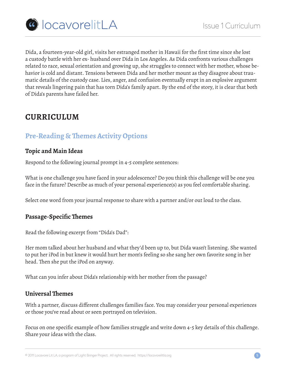

Dida, a fourteen-year-old girl, visits her estranged mother in Hawaii for the first time since she lost a custody battle with her ex- husband over Dida in Los Angeles. As Dida confronts various challenges related to race, sexual orientation and growing up, she struggles to connect with her mother, whose behavior is cold and distant. Tensions between Dida and her mother mount as they disagree about traumatic details of the custody case. Lies, anger, and confusion eventually erupt in an explosive argument that reveals lingering pain that has torn Dida's family apart. By the end of the story, it is clear that both of Dida's parents have failed her.

# **CURRICULUM**

# **Pre-Reading & Themes Activity Options**

#### **Topic and Main Ideas**

Respond to the following journal prompt in 4-5 complete sentences:

What is one challenge you have faced in your adolescence? Do you think this challenge will be one you face in the future? Describe as much of your personal experience(s) as you feel comfortable sharing.

Select one word from your journal response to share with a partner and/or out loud to the class.

#### **Passage-Specific Themes**

Read the following excerpt from "Dida's Dad":

Her mom talked about her husband and what they'd been up to, but Dida wasn't listening. She wanted to put her iPod in but knew it would hurt her mom's feeling so she sang her own favorite song in her head. Then she put the iPod on anyway.

What can you infer about Dida's relationship with her mother from the passage?

#### **Universal Themes**

With a partner, discuss different challenges families face. You may consider your personal experiences or those you've read about or seen portrayed on television.

Focus on one specific example of how families struggle and write down 4-5 key details of this challenge. Share your ideas with the class.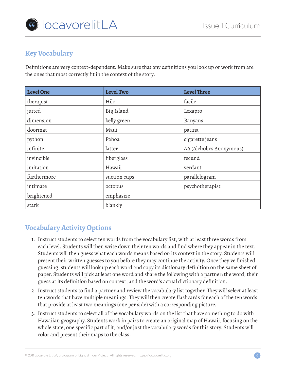

# **Key Vocabulary**

Definitions are very context-dependent. Make sure that any definitions you look up or work from are the ones that most correctly fit in the context of the story.

| <b>Level One</b> | <b>Level Two</b> | <b>Level Three</b>       |
|------------------|------------------|--------------------------|
| therapist        | Hilo             | facile                   |
| jutted           | Big Island       | Lexapro                  |
| dimension        | kelly green      | Banyans                  |
| doormat          | Maui             | patina                   |
| python           | Pahoa            | cigarette jeans          |
| infinite         | latter           | AA (Alcholics Anonymous) |
| invincible       | fiberglass       | fecund                   |
| imitation        | Hawaii           | verdant                  |
| furthermore      | suction cups     | parallelogram            |
| intimate         | octopus          | psychotherapist          |
| brightened       | emphasize        |                          |
| stark            | blankly          |                          |

# **Vocabulary Activity Options**

- 1. Instruct students to select ten words from the vocabulary list, with at least three words from each level. Students will then write down their ten words and find where they appear in the text. Students will then guess what each words means based on its context in the story. Students will present their written guesses to you before they may continue the activity. Once they've finished guessing, students will look up each word and copy its dictionary definition on the same sheet of paper. Students will pick at least one word and share the following with a partner: the word, their guess at its definition based on context, and the word's actual dictionary definition.
- 2. Instruct students to find a partner and review the vocabulary list together. They will select at least ten words that have multiple meanings. They will then create flashcards for each of the ten words that provide at least two meanings (one per side) with a corresponding picture.
- 3. Instruct students to select all of the vocabulary words on the list that have something to do with Hawaiian geography. Students work in pairs to create an original map of Hawaii, focusing on the whole state, one specific part of it, and/or just the vocabulary words for this story. Students will color and present their maps to the class.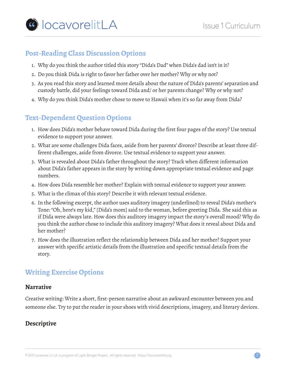### **Post-Reading Class Discussion Options**

- 1. Why do you think the author titled this story "Dida's Dad" when Dida's dad isn't in it?
- 2. Do you think Dida is right to favor her father over her mother? Why or why not?
- 3. As you read this story and learned more details about the nature of Dida's parents' separation and custody battle, did your feelings toward Dida and/ or her parents change? Why or why not?
- 4. Why do you think Dida's mother chose to move to Hawaii when it's so far away from Dida?

# **Text-Dependent Question Options**

- 1. How does Dida's mother behave toward Dida during the first four pages of the story? Use textual evidence to support your answer.
- 2. What are some challenges Dida faces, aside from her parents' divorce? Describe at least three different challenges, aside from divorce. Use textual evidence to support your answer.
- 3. What is revealed about Dida's father throughout the story? Track when different information about Dida's father appears in the story by writing down appropriate textual evidence and page numbers.
- 4. How does Dida resemble her mother? Explain with textual evidence to support your answer.
- 5. What is the climax of this story? Describe it with relevant textual evidence.
- 6. In the following excerpt, the author uses auditory imagery (underlined) to reveal Dida's mother's Tone: "Oh, here's my kid," [Dida's mom] said to the woman, before greeting Dida. She said this as if Dida were always late. How does this auditory imagery impact the story's overall mood? Why do you think the author chose to include this auditory imagery? What does it reveal about Dida and her mother?
- 7. How does the illustration reflect the relationship between Dida and her mother? Support your answer with specific artistic details from the illustration and specific textual details from the story.

# **Writing Exercise Options**

#### **Narrative**

Creative writing: Write a short, first-person narrative about an awkward encounter between you and someone else. Try to put the reader in your shoes with vivid descriptions, imagery, and literary devices.

#### **Descriptive**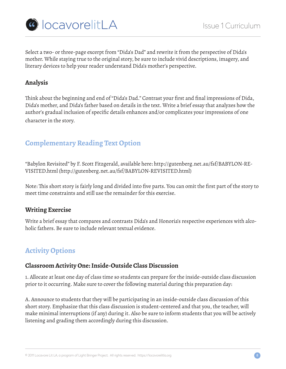

Select a two- or three-page excerpt from "Dida's Dad" and rewrite it from the perspective of Dida's mother. While staying true to the original story, be sure to include vivid descriptions, imagery, and literary devices to help your reader understand Dida's mother's perspective.

#### **Analysis**

Think about the beginning and end of "Dida's Dad." Contrast your first and final impressions of Dida, Dida's mother, and Dida's father based on details in the text. Write a brief essay that analyzes how the author's gradual inclusion of specific details enhances and/or complicates your impressions of one character in the story.

# **Complementary Reading Text Option**

"Babylon Revisited" by F. Scott Fitzgerald, available here: http://gutenberg.net.au/fsf/BABYLON-RE-VISITED.html (http://gutenberg.net.au/fsf/BABYLON-REVISITED.html)

Note: This short story is fairly long and divided into five parts. You can omit the first part of the story to meet time constraints and still use the remainder for this exercise.

#### **Writing Exercise**

Write a brief essay that compares and contrasts Dida's and Honoria's respective experiences with alcoholic fathers. Be sure to include relevant textual evidence.

# **Activity Options**

#### **Classroom Activity One: Inside-Outside Class Discussion**

1. Allocate at least one day of class time so students can prepare for the inside-outside class discussion prior to it occurring. Make sure to cover the following material during this preparation day:

A. Announce to students that they will be participating in an inside-outside class discussion of this short story. Emphasize that this class discussion is student-centered and that you, the teacher, will make minimal interruptions (if any) during it. Also be sure to inform students that you will be actively listening and grading them accordingly during this discussion.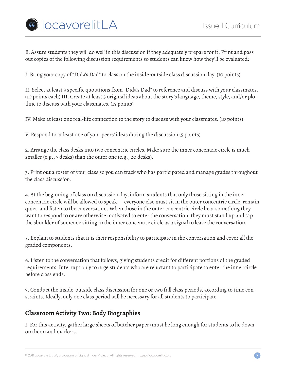

B. Assure students they will do well in this discussion if they adequately prepare for it. Print and pass out copies of the following discussion requirements so students can know how they'll be evaluated:

I. Bring your copy of "Dida's Dad" to class on the inside-outside class discussion day. (10 points)

II. Select at least 3 specific quotations from "Dida's Dad" to reference and discuss with your classmates. (10 points each) III. Create at least 3 original ideas about the story's language, theme, style, and/or plotline to discuss with your classmates. (15 points)

IV. Make at least one real-life connection to the story to discuss with your classmates. (10 points)

V. Respond to at least one of your peers' ideas during the discussion (5 points)

2. Arrange the class desks into two concentric circles. Make sure the inner concentric circle is much smaller (e.g., 7 desks) than the outer one (e.g., 20 desks).

3. Print out a roster of your class so you can track who has participated and manage grades throughout the class discussion.

4. At the beginning of class on discussion day, inform students that only those sitting in the inner concentric circle will be allowed to speak — everyone else must sit in the outer concentric circle, remain quiet, and listen to the conversation. When those in the outer concentric circle hear something they want to respond to or are otherwise motivated to enter the conversation, they must stand up and tap the shoulder of someone sitting in the inner concentric circle as a signal to leave the conversation.

5. Explain to students that it is their responsibility to participate in the conversation and cover all the graded components.

6. Listen to the conversation that follows, giving students credit for different portions of the graded requirements. Interrupt only to urge students who are reluctant to participate to enter the inner circle before class ends.

7. Conduct the inside-outside class discussion for one or two full class periods, according to time constraints. Ideally, only one class period will be necessary for all students to participate.

#### **Classroom Activity Two: Body Biographies**

1. For this activity, gather large sheets of butcher paper (must be long enough for students to lie down on them) and markers.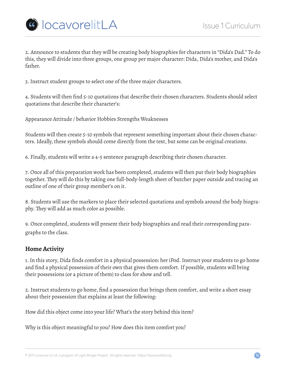

2. Announce to students that they will be creating body biographies for characters in "Dida's Dad." To do this, they will divide into three groups, one group per major character: Dida, Dida's mother, and Dida's father.

3. Instruct student groups to select one of the three major characters.

4. Students will then find 5-10 quotations that describe their chosen characters. Students should select quotations that describe their character's:

Appearance Attitude / behavior Hobbies Strengths Weaknesses

Students will then create 5-10 symbols that represent something important about their chosen characters. Ideally, these symbols should come directly from the text, but some can be original creations.

6. Finally, students will write a 4-5 sentence paragraph describing their chosen character.

7. Once all of this preparation work has been completed, students will then put their body biographies together. They will do this by taking one full-body-length sheet of butcher paper outside and tracing an outline of one of their group member's on it.

8. Students will use the markers to place their selected quotations and symbols around the body biography. They will add as much color as possible.

9. Once completed, students will present their body biographies and read their corresponding paragraphs to the class.

#### **Home Activity**

1. In this story, Dida finds comfort in a physical possession: her iPod. Instruct your students to go home and find a physical possession of their own that gives them comfort. If possible, students will bring their possessions (or a picture of them) to class for show and tell.

2. Instruct students to go home, find a possession that brings them comfort, and write a short essay about their possession that explains at least the following:

How did this object come into your life? What's the story behind this item?

Why is this object meaningful to you? How does this item comfort you?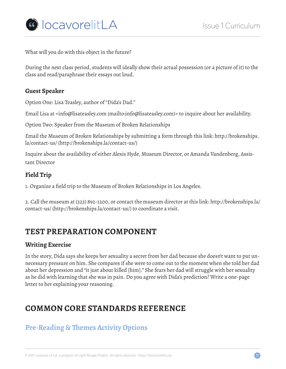

What will you do with this object in the future?

During the next class period, students will ideally show their actual possession (or a picture of it) to the class and read/paraphrase their essays out loud.

#### **Guest Speaker**

Option One: Lisa Teasley, author of "Dida's Dad."

Email Lisa at <info@lisateasley.com (mailto:info@lisateasley.com)> to inquire about her availability.

Option Two: Speaker from the Museum of Broken Relationships

Email the Museum of Broken Relationships by submitting a form through this link: http://brokenships. la/contact-us/ (http://brokenships.la/contact-us/)

Inquire about the availability of either Alexis Hyde, Museum Director, or Amanda Vandenberg, Assistant Director

#### **Field Trip**

1. Organize a field trip to the Museum of Broken Relationships in Los Angeles.

2. Call the museum at (323) 892-1200, or contact the museum director at this link: http://brokenships.la/ contact-us/ (http://brokenships.la/contact-us/) to coordinate a visit.

# **TEST PREPARATION COMPONENT**

#### **Writing Exercise**

In the story, Dida says she keeps her sexuality a secret from her dad because she doesn't want to put unnecessary pressure on him. She compares if she were to come out to the moment when she told her dad about her depression and "it just about killed [him]." She fears her dad will struggle with her sexuality as he did with learning that she was in pain. Do you agree with Dida's prediction? Write a one-page letter to her explaining your reasoning.

# **COMMON CORE STANDARDS REFERENCE**

# **Pre-Reading & Themes Activity Options**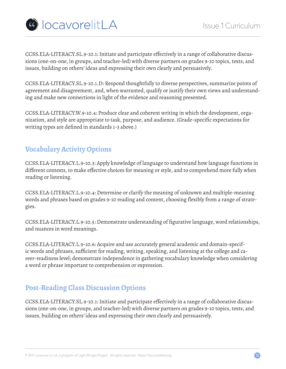

CCSS.ELA-LITERACY.SL.9-10.1: Initiate and participate effectively in a range of collaborative discussions (one-on-one, in groups, and teacher-led) with diverse partners on grades 9-10 topics, texts, and issues, building on others' ideas and expressing their own clearly and persuasively.

CCSS.ELA-LITERACY.SL.9-10.1.D: Respond thoughtfully to diverse perspectives, summarize points of agreement and disagreement, and, when warranted, qualify or justify their own views and understanding and make new connections in light of the evidence and reasoning presented.

CCSS.ELA-LITERACY.W.9-10.4: Produce clear and coherent writing in which the development, organization, and style are appropriate to task, purpose, and audience. (Grade-specific expectations for writing types are defined in standards 1-3 above.)

# **Vocabulary Activity Options**

CCSS.ELA-LITERACY.L.9-10.3: Apply knowledge of language to understand how language functions in different contexts, to make effective choices for meaning or style, and to comprehend more fully when reading or listening.

CCSS.ELA-LITERACY.L.9-10.4: Determine or clarify the meaning of unknown and multiple-meaning words and phrases based on grades 9-10 reading and content, choosing flexibly from a range of strategies.

CCSS.ELA-LITERACY.L.9-10.5: Demonstrate understanding of figurative language, word relationships, and nuances in word meanings.

CCSS.ELA-LITERACY.L.9-10.6: Acquire and use accurately general academic and domain-specific words and phrases, sufficient for reading, writing, speaking, and listening at the college and career-readiness level; demonstrate independence in gathering vocabulary knowledge when considering a word or phrase important to comprehension or expression.

# **Post-Reading Class Discussion Options**

CCSS.ELA-LITERACY.SL.9-10.1: Initiate and participate effectively in a range of collaborative discussions (one-on-one, in groups, and teacher-led) with diverse partners on grades 9-10 topics, texts, and issues, building on others' ideas and expressing their own clearly and persuasively.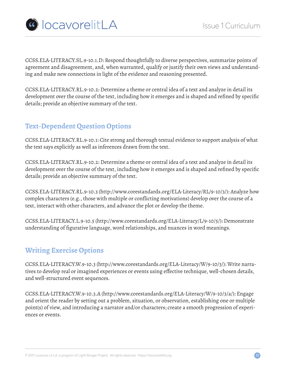

CCSS.ELA-LITERACY.SL.9-10.1.D: Respond thoughtfully to diverse perspectives, summarize points of agreement and disagreement, and, when warranted, qualify or justify their own views and understanding and make new connections in light of the evidence and reasoning presented.

CCSS.ELA-LITERACY.RL.9-10.2: Determine a theme or central idea of a text and analyze in detail its development over the course of the text, including how it emerges and is shaped and refined by specific details; provide an objective summary of the text.

# **Text-Dependent Question Options**

CCSS.ELA-LITERACY.RL.9-10.1: Cite strong and thorough textual evidence to support analysis of what the text says explicitly as well as inferences drawn from the text.

CCSS.ELA-LITERACY.RL.9-10.2: Determine a theme or central idea of a text and analyze in detail its development over the course of the text, including how it emerges and is shaped and refined by specific details; provide an objective summary of the text.

CCSS.ELA-LITERACY.RL.9-10.3 (http://www.corestandards.org/ELA-Literacy/RL/9-10/3/): Analyze how complex characters (e.g., those with multiple or conflicting motivations) develop over the course of a text, interact with other characters, and advance the plot or develop the theme.

CCSS.ELA-LITERACY.L.9-10.5 (http://www.corestandards.org/ELA-Literacy/L/9-10/5/): Demonstrate understanding of figurative language, word relationships, and nuances in word meanings.

# **Writing Exercise Options**

CCSS.ELA-LITERACY.W.9-10.3 (http://www.corestandards.org/ELA-Literacy/W/9-10/3/): Write narratives to develop real or imagined experiences or events using effective technique, well-chosen details, and well-structured event sequences.

CCSS.ELA-LITERACY.W.9-10.3.A (http://www.corestandards.org/ELA-Literacy/W/9-10/3/a/): Engage and orient the reader by setting out a problem, situation, or observation, establishing one or multiple point(s) of view, and introducing a narrator and/or characters; create a smooth progression of experiences or events.